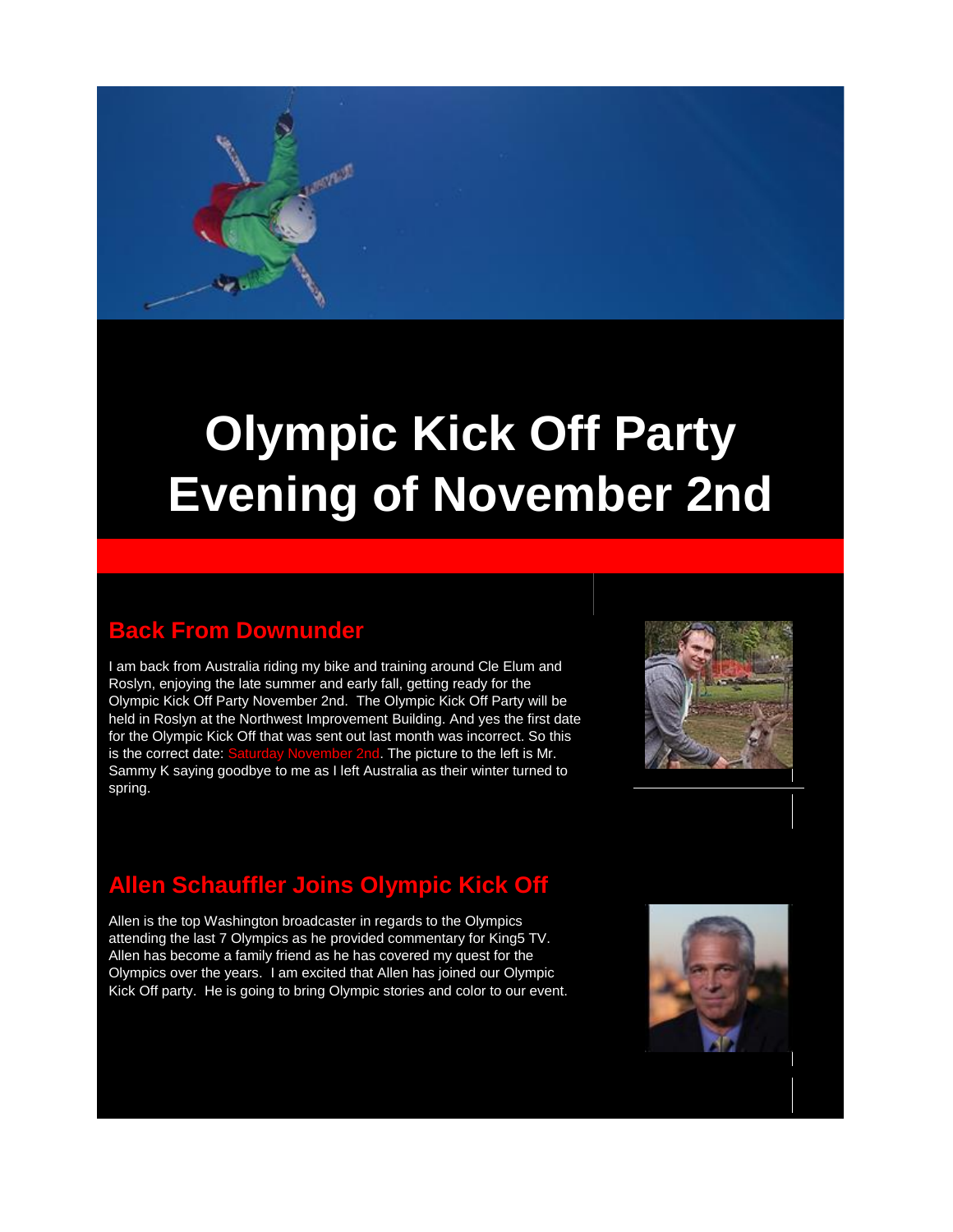# **Olympic Kick Off Party Evening of November 2nd**

# **Back From Downunder**

I am back from Australia riding my bike and training around Cle Elum and Roslyn, enjoying the late summer and early fall, getting ready for the Olympic Kick Off Party November 2nd. The Olympic Kick Off Party will be held in Roslyn at the Northwest Improvement Building. And yes the first date for the Olympic Kick Off that was sent out last month was incorrect. So this is the correct date: Saturday November 2nd. The picture to the left is Mr. Sammy K saying goodbye to me as I left Australia as their winter turned to spring.



# **Allen Schauffler Joins Olympic Kick Off**

Allen is the top Washington broadcaster in regards to the Olympics attending the last 7 Olympics as he provided commentary for King5 TV. Allen has become a family friend as he has covered my quest for the Olympics over the years. I am excited that Allen has joined our Olympic Kick Off party. He is going to bring Olympic stories and color to our event.